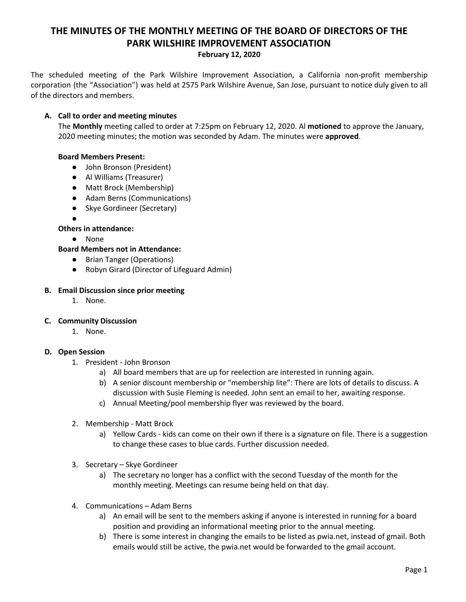# **THE MINUTES OF THE MONTHLY MEETING OF THE BOARD OF DIRECTORS OF THE PARK WILSHIRE IMPROVEMENT ASSOCIATION February 12, 2020**

The scheduled meeting of the Park Wilshire Improvement Association, a California non-profit membership corporation (the "Association") was held at 2575 Park Wilshire Avenue, San Jose, pursuant to notice duly given to all of the directors and members.

## **A. Call to order and meeting minutes**

The **Monthly** meeting called to order at 7:25pm on February 12, 2020. Al **motioned** to approve the January, 2020 meeting minutes; the motion was seconded by Adam. The minutes were **approved**.

## **Board Members Present:**

- John Bronson (President)
- **●** Al Williams (Treasurer)
- Matt Brock (Membership)
- Adam Berns (Communications)
- Skye Gordineer (Secretary)
- ●

## **Others in attendance:**

- None
- **Board Members not in Attendance:**
	- Brian Tanger (Operations)
	- Robyn Girard (Director of Lifeguard Admin)

#### **B. Email Discussion since prior meeting**

1. None.

#### **C. Community Discussion**

1. None.

#### **D. Open Session**

- 1. President John Bronson
	- a) All board members that are up for reelection are interested in running again.
	- b) A senior discount membership or "membership lite": There are lots of details to discuss. A discussion with Susie Fleming is needed. John sent an email to her, awaiting response.
	- c) Annual Meeting/pool membership flyer was reviewed by the board.
- 2. Membership Matt Brock
	- a) Yellow Cards kids can come on their own if there is a signature on file. There is a suggestion to change these cases to blue cards. Further discussion needed.
- 3. Secretary Skye Gordineer
	- a) The secretary no longer has a conflict with the second Tuesday of the month for the monthly meeting. Meetings can resume being held on that day.
- 4. Communications Adam Berns
	- a) An email will be sent to the members asking if anyone is interested in running for a board position and providing an informational meeting prior to the annual meeting.
	- b) There is some interest in changing the emails to be listed as pwia.net, instead of gmail. Both emails would still be active, the pwia.net would be forwarded to the gmail account.